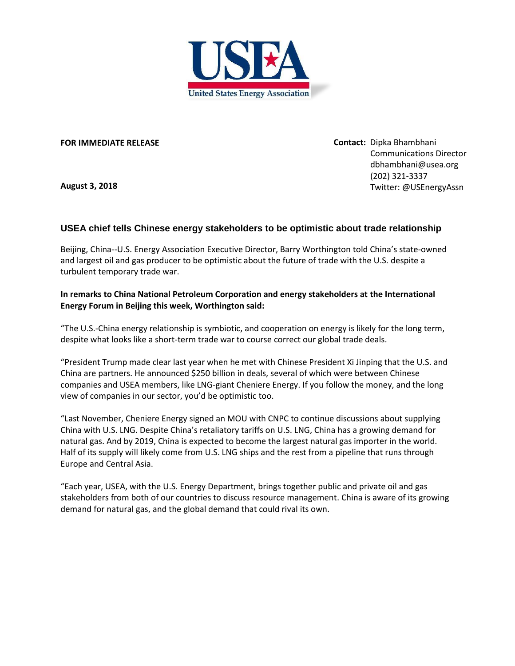

**FOR IMMEDIATE RELEASE**

**August 3, 2018**

**Contact:** Dipka Bhambhani Communications Director [dbhambhani@usea.org](mailto:dbhambhani@usea.org) (202) 321-3337 Twitter: @USEnergyAssn

## **USEA chief tells Chinese energy stakeholders to be optimistic about trade relationship**

Beijing, China--U.S. Energy Association Executive Director, Barry Worthington told China's state-owned and largest oil and gas producer to be optimistic about the future of trade with the U.S. despite a turbulent temporary trade war.

## **In remarks to China National Petroleum Corporation and energy stakeholders at the International Energy Forum in Beijing this week, Worthington said:**

"The U.S.-China energy relationship is symbiotic, and cooperation on energy is likely for the long term, despite what looks like a short-term trade war to course correct our global trade deals.

"President Trump made clear last year when he met with Chinese President Xi Jinping that the U.S. and China are partners. He announced \$250 billion in deals, several of which were between Chinese companies and USEA members, like LNG-giant Cheniere Energy. If you follow the money, and the long view of companies in our sector, you'd be optimistic too.

"Last November, Cheniere Energy signed an MOU with CNPC to continue discussions about supplying China with U.S. LNG. Despite China's retaliatory tariffs on U.S. LNG, China has a growing demand for natural gas. And by 2019, China is expected to become the largest natural gas importer in the world. Half of its supply will likely come from U.S. LNG ships and the rest from a pipeline that runs through Europe and Central Asia.

"Each year, USEA, with the U.S. Energy Department, brings together public and private oil and gas stakeholders from both of our countries to discuss resource management. China is aware of its growing demand for natural gas, and the global demand that could rival its own.